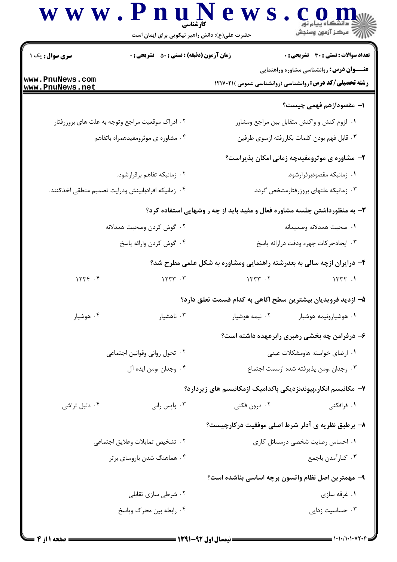## www.PnuN  $e$  w s.  $e_{\text{max}}$

حضرت علی(ع): دانش راهبر نیکویی برای ایمان است **تعداد سوالات : تستي : 30 ٪ تشريحي : 0** سری سوال : یک ۱ زمان آزمون (دقيقه) : تستى ; 50 ٪ تشريحي ; 0 **عنـــوان درس:** روانشناسی مشاوره وراهنمایی www.PnuNews.com **رشته تحصیلی/کد درس: روانشناسی (روانشناسی عمومی )۲۱۷۰۲۱ (** www.PnuNews.net ا– مقصودازهم فهمي چيست؟ ۰۱ لزوم کنش و واکنش متقابل بین مراجع ومشاور ۰۲ ادراک موقعیت مراجع وتوجه به علت های بروزرفتار ۰۴ مشاوره ی موثرومفیدهمراه باتفاهم ۰۳ قابل فهم بودن كلمات بكاررفته ازسوى طرفين ۲- مشاوره ی موثرومفیدچه زمانی امکان پذیراست؟ ۰۲ زمانیکه تفاهم برقرارشود. ۰۱ زمانیکه مقصودبرقرارشود. ۴. زمانيكه افرادبابينش ودرايت تصميم منطقى اخذكنند. ۰۳ زمانیکه علتهای بروزرفتارمشخص گردد. ۳- به منظورداشتن جلسه مشاوره فعال و مفید باید از چه ر وشهایی استفاده کرد؟ ۰۲ گوش کردن وصحبت همدلانه 1. صحبت همدلانه وصميمانه ۰۴ گوش کردن وارائه پاسخ ۰۳ ایجادحر کات چهره ودقت درارائه پاسخ ۴- درایران ازچه سالی به بعدرشته راهنمایی ومشاوره به شکل علمی مطرح شد؟  $1577.7$  $1577$  .  $9$  $155$  $1577.1$ ۵– ازدید فرویدیان بیشترین سطح اگاهی به کدام قسمت تعلق دارد؟ ۰۴ هوشیار ۰۳ ناهشیار ۰۲ نیمه هوشیار ۰۱ هوشیارونیمه هوشیار ۶– درفرامن چه بخشی رهبری رابرعهده داشته است؟ ٠٢ تحول رواني وقوانين اجتماعي ۰۱ ارضای خواسته هاومشکلات عینی ۴. وجدان ،ومن ايده آل ۰۳ وجدان ،ومن يذيرفته شده ازسمت اجتماع ۷– مکانیسم انکار،پیوندنزدیکی باکدامیک ازمکانیسم های زیردارد؟ ١. فرافكني ۰۴ دلیل تراشی ۰۳ واپس رانی ۲. د<sub>رون</sub> فکن*ی* ۸- برطبق نظریه ی آدلر شرط اصلی موفقیت درکارچیست؟ ۰۲ تشخیص تمایلات وعلایق اجتما*ع*ی ٠١ احساس رضايت شخصى درمسائل كارى ۰۴ هماهنگ شدن باروسای برتر ۰۳ كنارآمدن باجمع ۹- مهمترین اصل نظام واتسون برچه اساسی بناشده است؟

> ۰۳ حساسیت زدایی ۰۴ رابطه بین محرک ویاسخ

۰۱ غرقه سازی

۰۲ شرطی سازی تقابلی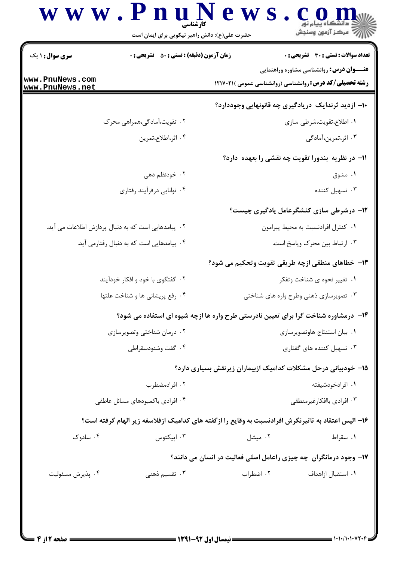## www.PnuN ews.com است.<br>استان مرکز آزمون وسنڊش حضرت علی(ع): دانش راهبر نیکویی برای ایمان است **تعداد سوالات : تستي : 30 - تشريحي : 0 سری سوال : ۱ یک زمان آزمون (دقیقه) : تستی : 80 ٪ تشریحی : 0 عنـــوان درس:** روانشناسی مشاوره وراهنمایی www.PnuNews.com **رشته تحصیلی/کد درس: روانشناسی (روانشناسی عمومی )۲۱۷۰۲۱ (** www.PnuNews.net ۱۰– ازدید ثرندایک دریادگیری چه قانونهایی وجوددارد؟ ۰۲ تقویت،آمادگی،همراهی محرک ۰۱ اطلاع،تقویت،شرطی سازی ۰۴ اثر،اطلاع،تمرين ۰۳ اثر،تمرین،آمادگی 1۱- در نظریه بندورا تقویت چه نقشی را بعهده دارد؟ ۲. خودنظم دهی ۰۱ مشوق ۰۴ توانایی درفرآیند رفتاری ۰۳ تسهیل کننده **۱۲**- درشرطی سازی کنشگرعامل یادگیری چیست؟ ۰۲ پیامدهایی است که به دنبال پردازش اطلاعات می آید. ٠١ كنترل افرادنسبت به محيط پيرامون ۰۴ پیامدهایی است که به دنبال رفتارمی آید. ۰۳ ارتباط بين محرک وپاسخ است. ١٣- خطاهاي منطقي ازچه طريقي تقويت وتحكيم مي شود؟ ۰۲ گفتگوی با خود و افکار خودآیند ۰۱ تغییر نحوه ی شناخت وتفکر ۰۴ رفع پریشانی ها و شناخت علتها ۰۳ تصویرسازی ذهنی وطرح واره های شناختی ۱۴- درمشاوره شناخت گرا برای تعیین نادرستی طرح واره ها ازچه شیوه ای استفاده می شود؟ ۰۲ درمان شناختی وتصویرسازی ٠١. بيان استنتاج هاوتصويرسازي ۰۴ گفت وشنودسقراطی ۰۳ تسهیل کننده های گفتاری **۱۵**- خودبیانی درحل مشکلات کدامیک ازبیماران زیرنقش بسیاری دارد؟ ٢. افرادمضطرب ۰۱ افرادخودشىفته ۰۴ افرادی باکمبودهای مسائل عاطفی ۰۳ افرادي باافكارغيرمنطقي

 $= 1.1.11.1.11.17.9$ 

۰۱ سقراط

٠١. استقبال ازاهداف

۰۳ ایپکتوس

۴. تقسیم ذهنی

۱۶- الیس اعتقاد به تاثیرنگرش افرادنسبت به وقایع را ازگفته های کدامیک ازفلاسفه زیر الهام گرفته است؟

۰۲ میشل

۰۲ اضطراب

۱۷- وجود درمانگران چه چیزی راعامل اصلی فعالیت در انسان می دانند؟

۰۴ سادوک

۰۴ پذیرش مسئولیت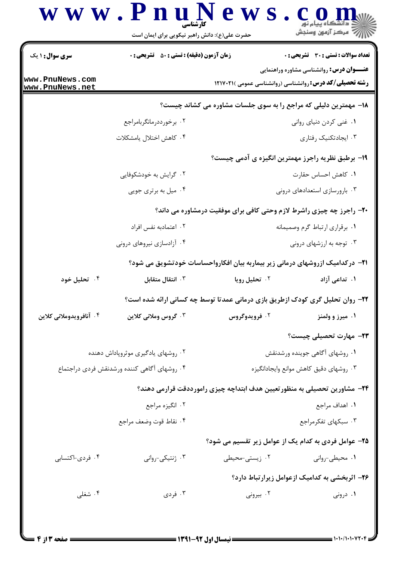## www.PnuN ews.com ريسمبرس<br>جي مرڪز آزمون وسنڊش حضرت علی(ع): دانش راهبر نیکویی برای ایمان است **تعداد سوالات : تستي : 30 - تشريحي : 0 سری سوال : ۱ یک زمان آزمون (دقیقه) : تستی : 80 ٪ تشریحی : 0 عنـــوان درس:** روانشناسی مشاوره وراهنمایی www.PnuNews.com **رشته تحصیلی/کد درس: روانشناسی (روانشناسی عمومی )۲۱۷۰۲۱ (** www.PnuNews.net 18- مهمترین دلیلی که مراجع را به سوی جلسات مشاوره می کشاند چیست؟ ۰۱ غنی کردن دنیای روانی ۰۲ برخورددرمانگربامراجع ۰۴ كاهش اختلال بامشكلات ۰۳ ایجادتکنیک ,فتا, ی ۱۹- برطبق نظریه راجرز مهمترین انگیزه ی آدمی چیست؟ ۰۲ گرایش به خودشکوفایی ٠١. كاهش احساس حقارت ۰۴ میل به برتری جویی ۰۳ بارورسازی استعدادهای درونی **۲۰**- راجرز چه چیزی راشرط لازم وحتی کافی برای موفقیت درمشاوره می داند؟ ۰۲ اعتمادبه نفس افراد ٠١ برقراري ارتباط گرم وصميمانه ۰۴ آزادسازی نیروهای درونی ۰۳ توجه به ارزشهای درونی **۲۱**- درکدامیک ازروشهای درمانی زیر بیماربه بیان افکارواحساسات خودتشویق می شود؟ ۰۴ تحلیل خود ۰۳ انتقال متقابل **7. تحليل دويا** ۱. تداعي آزاد ۲۲- روان تحلیل گری کودک ازطریق بازی درمانی عمدتا توسط چه کسانی ارائه شده است؟ ۰۴ آنافرويدوملاني كلاين ۰۳ گروس وملانی کلاین ۰۲ فرویدوگروس ۰۱ میرز و ولمنز **۲۳**- مهارت تحصیلی چیست؟ ۰۲ روشهای یادگیری موثروپاداش دهنده ۰۱ روشهای آگاهی جوینده ورشدنقش ۰۴ روشهای آگاهی کننده ورشدنقش فردی دراجتماع ۰۳ , وشهای دقیق کاهش موانع وایجادانگیزه ۲۴– مشاورین تحصیلی به منظورتعیین هدف ابتداچه چیزی رامورددقت قرارمی دهند؟ ٢. انگیزه مراجع ١. اهداف مراجع ۰۴ نقاط قوت وضعف مراجع ۰۳ سبکهای تفکرمراجع ۲۵- عوامل فردی به کدام یک از عوامل زیر تقسیم می شود؟ ۰۴ فردی-اکتسابی ۰۳ ژنتیکی-روانی ۰۲ زیستی-محیطی ۰۱ محیطی-روانی ۲۶- اثربخشی به کدامیک ازعوامل زیرارتباط دارد؟ ۰۴ شغلی ۰۱ درونی ۰۳ فردی ۰۲ بیرونی